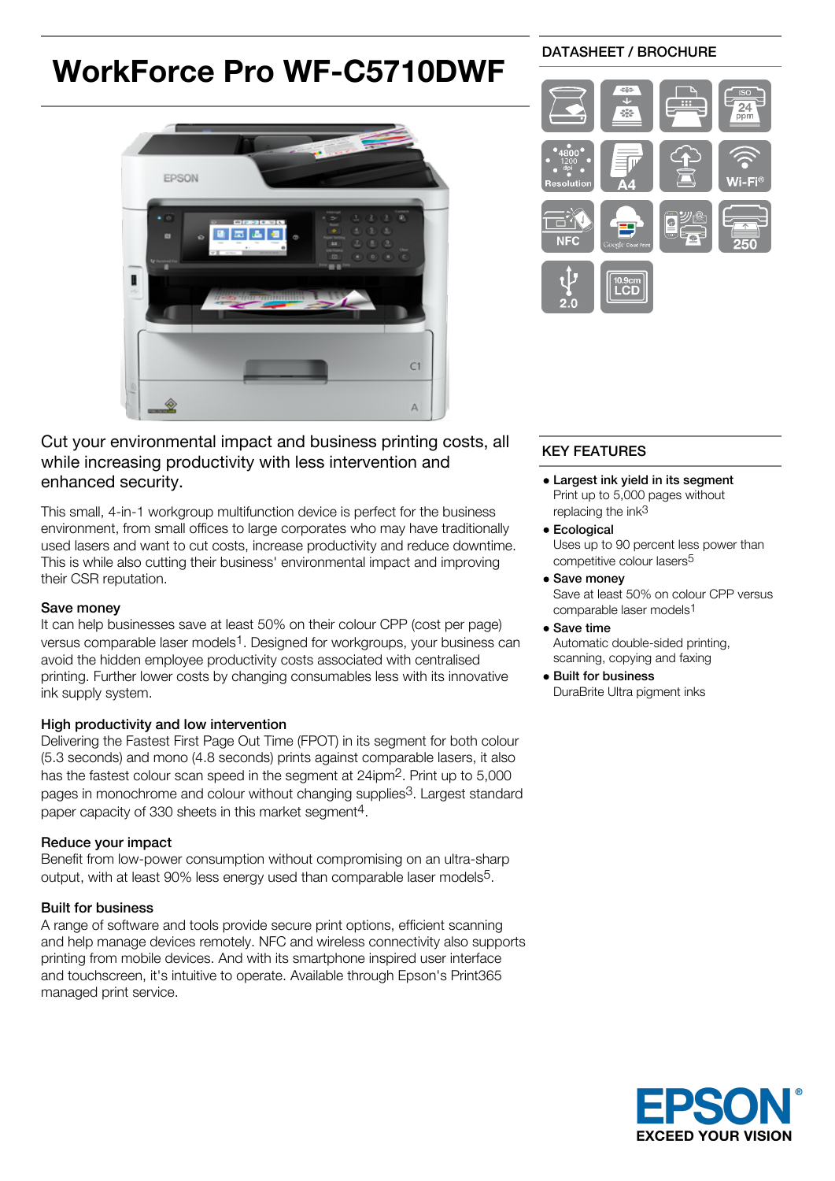# **WorkForce Pro WF-C5710DWF**



## DATASHEET / BROCHURE



## Cut your environmental impact and business printing costs, all while increasing productivity with less intervention and enhanced security.

This small, 4-in-1 workgroup multifunction device is perfect for the business environment, from small offices to large corporates who may have traditionally used lasers and want to cut costs, increase productivity and reduce downtime. This is while also cutting their business' environmental impact and improving their CSR reputation.

## Save money

It can help businesses save at least 50% on their colour CPP (cost per page) versus comparable laser models1. Designed for workgroups, your business can avoid the hidden employee productivity costs associated with centralised printing. Further lower costs by changing consumables less with its innovative ink supply system.

## High productivity and low intervention

Delivering the Fastest First Page Out Time (FPOT) in its segment for both colour (5.3 seconds) and mono (4.8 seconds) prints against comparable lasers, it also has the fastest colour scan speed in the segment at 24ipm2. Print up to 5,000 pages in monochrome and colour without changing supplies3. Largest standard paper capacity of 330 sheets in this market segment4.

#### Reduce your impact

Benefit from low-power consumption without compromising on an ultra-sharp output, with at least 90% less energy used than comparable laser models5.

## Built for business

A range of software and tools provide secure print options, efficient scanning and help manage devices remotely. NFC and wireless connectivity also supports printing from mobile devices. And with its smartphone inspired user interface and touchscreen, it's intuitive to operate. Available through Epson's Print365 managed print service.

## KEY FEATURES

- Largest ink yield in its segment Print up to 5,000 pages without replacing the ink<sup>3</sup>
- **•** Ecological Uses up to 90 percent less power than competitive colour lasers5
- Save money Save at least 50% on colour CPP versus comparable laser models1
- Save time Automatic double-sided printing, scanning, copying and faxing
- Built for business DuraBrite Ultra pigment inks

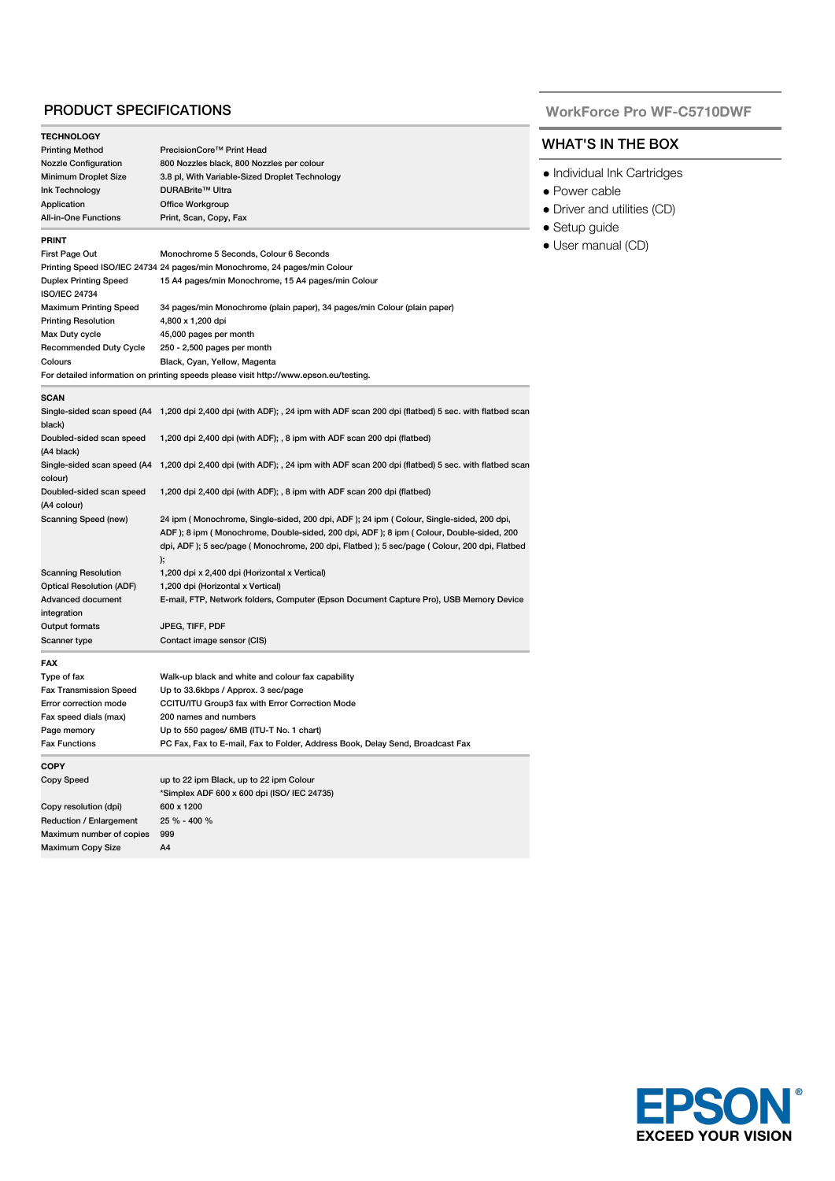### PRODUCT SPECIFICATIONS

| <b>TECHNOLOGY</b>               |                                                                                                                                                                                                                                                                                 |  |  |
|---------------------------------|---------------------------------------------------------------------------------------------------------------------------------------------------------------------------------------------------------------------------------------------------------------------------------|--|--|
| <b>Printing Method</b>          | PrecisionCore <sup>™</sup> Print Head                                                                                                                                                                                                                                           |  |  |
| <b>Nozzle Configuration</b>     | 800 Nozzles black, 800 Nozzles per colour                                                                                                                                                                                                                                       |  |  |
| <b>Minimum Droplet Size</b>     | 3.8 pl, With Variable-Sized Droplet Technology                                                                                                                                                                                                                                  |  |  |
| Ink Technology                  | DURABrite™ Ultra                                                                                                                                                                                                                                                                |  |  |
| Application                     | Office Workgroup                                                                                                                                                                                                                                                                |  |  |
| <b>All-in-One Functions</b>     | Print, Scan, Copy, Fax                                                                                                                                                                                                                                                          |  |  |
| <b>PRINT</b>                    |                                                                                                                                                                                                                                                                                 |  |  |
| First Page Out                  | Monochrome 5 Seconds, Colour 6 Seconds                                                                                                                                                                                                                                          |  |  |
|                                 | Printing Speed ISO/IEC 24734 24 pages/min Monochrome, 24 pages/min Colour                                                                                                                                                                                                       |  |  |
| <b>Duplex Printing Speed</b>    | 15 A4 pages/min Monochrome, 15 A4 pages/min Colour                                                                                                                                                                                                                              |  |  |
| <b>ISO/IEC 24734</b>            |                                                                                                                                                                                                                                                                                 |  |  |
| Maximum Printing Speed          | 34 pages/min Monochrome (plain paper), 34 pages/min Colour (plain paper)                                                                                                                                                                                                        |  |  |
| <b>Printing Resolution</b>      | 4,800 x 1,200 dpi                                                                                                                                                                                                                                                               |  |  |
| Max Duty cycle                  | 45,000 pages per month                                                                                                                                                                                                                                                          |  |  |
| Recommended Duty Cycle          | 250 - 2,500 pages per month                                                                                                                                                                                                                                                     |  |  |
| Colours                         | Black, Cyan, Yellow, Magenta                                                                                                                                                                                                                                                    |  |  |
|                                 | For detailed information on printing speeds please visit http://www.epson.eu/testing.                                                                                                                                                                                           |  |  |
| <b>SCAN</b>                     |                                                                                                                                                                                                                                                                                 |  |  |
| black)                          | Single-sided scan speed (A4 1,200 dpi 2,400 dpi (with ADF); , 24 ipm with ADF scan 200 dpi (flatbed) 5 sec. with flatbed scan                                                                                                                                                   |  |  |
| Doubled-sided scan speed        | 1,200 dpi 2,400 dpi (with ADF); , 8 ipm with ADF scan 200 dpi (flatbed)                                                                                                                                                                                                         |  |  |
| (A4 black)                      |                                                                                                                                                                                                                                                                                 |  |  |
|                                 | Single-sided scan speed (A4 1,200 dpi 2,400 dpi (with ADF); , 24 ipm with ADF scan 200 dpi (flatbed) 5 sec. with flatbed scan                                                                                                                                                   |  |  |
| colour)                         |                                                                                                                                                                                                                                                                                 |  |  |
| Doubled-sided scan speed        | 1,200 dpi 2,400 dpi (with ADF); , 8 ipm with ADF scan 200 dpi (flatbed)                                                                                                                                                                                                         |  |  |
| (A4 colour)                     |                                                                                                                                                                                                                                                                                 |  |  |
| Scanning Speed (new)            | 24 ipm (Monochrome, Single-sided, 200 dpi, ADF); 24 ipm (Colour, Single-sided, 200 dpi,<br>ADF); 8 ipm (Monochrome, Double-sided, 200 dpi, ADF); 8 ipm (Colour, Double-sided, 200<br>dpi, ADF); 5 sec/page (Monochrome, 200 dpi, Flatbed); 5 sec/page (Colour, 200 dpi, Flatbed |  |  |
|                                 | );                                                                                                                                                                                                                                                                              |  |  |
| <b>Scanning Resolution</b>      | 1,200 dpi x 2,400 dpi (Horizontal x Vertical)                                                                                                                                                                                                                                   |  |  |
| <b>Optical Resolution (ADF)</b> | 1,200 dpi (Horizontal x Vertical)                                                                                                                                                                                                                                               |  |  |
| <b>Advanced document</b>        | E-mail, FTP, Network folders, Computer (Epson Document Capture Pro), USB Memory Device                                                                                                                                                                                          |  |  |
| integration                     |                                                                                                                                                                                                                                                                                 |  |  |
| <b>Output formats</b>           | JPEG, TIFF, PDF                                                                                                                                                                                                                                                                 |  |  |
| Scanner type                    | Contact image sensor (CIS)                                                                                                                                                                                                                                                      |  |  |
| <b>FAX</b>                      |                                                                                                                                                                                                                                                                                 |  |  |
| Type of fax                     | Walk-up black and white and colour fax capability                                                                                                                                                                                                                               |  |  |
| <b>Fax Transmission Speed</b>   | Up to 33.6kbps / Approx. 3 sec/page                                                                                                                                                                                                                                             |  |  |
| Error correction mode           | CCITU/ITU Group3 fax with Error Correction Mode                                                                                                                                                                                                                                 |  |  |
| Fax speed dials (max)           | 200 names and numbers                                                                                                                                                                                                                                                           |  |  |
| Page memory                     | Up to 550 pages/ 6MB (ITU-T No. 1 chart)                                                                                                                                                                                                                                        |  |  |
| <b>Fax Functions</b>            | PC Fax, Fax to E-mail, Fax to Folder, Address Book, Delay Send, Broadcast Fax                                                                                                                                                                                                   |  |  |
| <b>COPY</b>                     |                                                                                                                                                                                                                                                                                 |  |  |
| Copy Speed                      | up to 22 ipm Black, up to 22 ipm Colour                                                                                                                                                                                                                                         |  |  |
|                                 | *Simplex ADF 600 x 600 dpi (ISO/ IEC 24735)                                                                                                                                                                                                                                     |  |  |
| Copy resolution (dpi)           | 600 x 1200                                                                                                                                                                                                                                                                      |  |  |
| Reduction / Enlargement         | 25 % - 400 %                                                                                                                                                                                                                                                                    |  |  |
| Maximum number of copies        | 999                                                                                                                                                                                                                                                                             |  |  |
| Maximum Copy Size               | A4                                                                                                                                                                                                                                                                              |  |  |
|                                 |                                                                                                                                                                                                                                                                                 |  |  |

#### **WorkForce Pro WF-C5710DWF**

## WHAT'S IN THE BOX

- Individual Ink Cartridges
- Power cable
- Driver and utilities (CD)
- Setup guide
- User manual (CD)

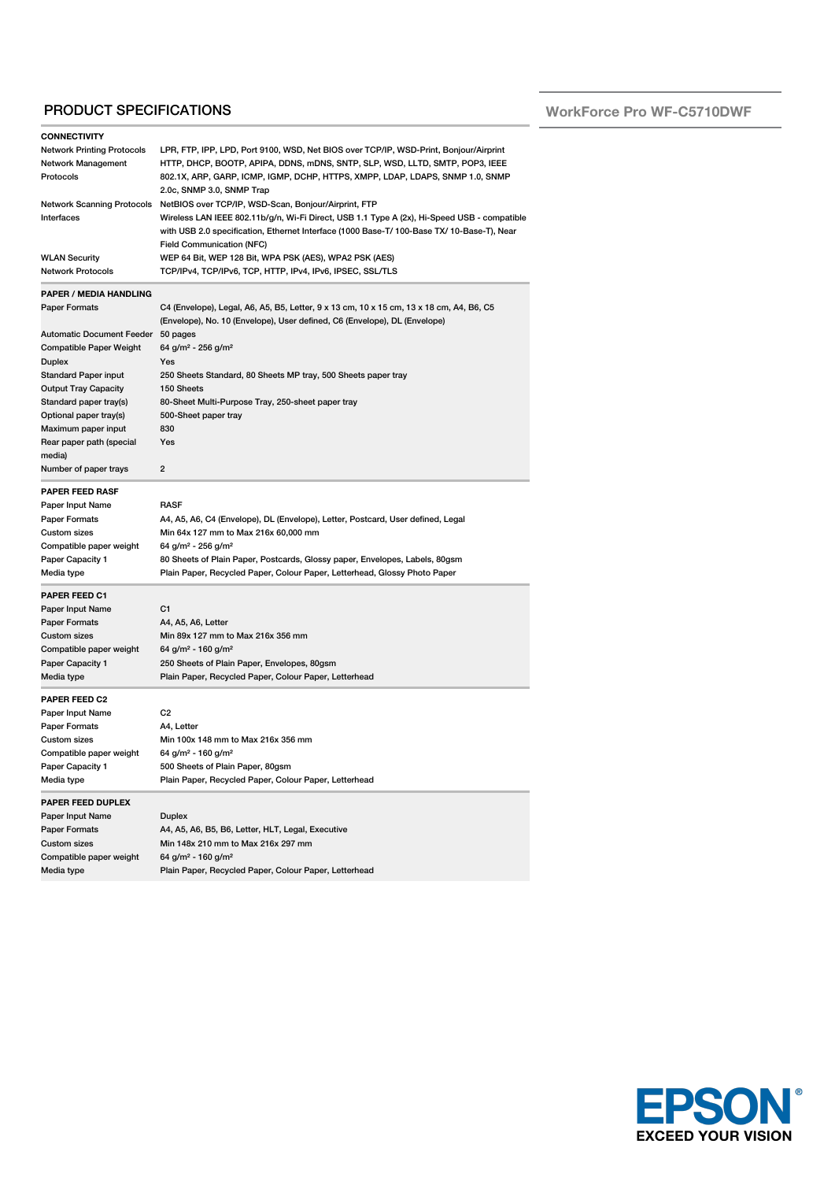## PRODUCT SPECIFICATIONS

| <b>CONNECTIVITY</b>                         |                                                                                             |
|---------------------------------------------|---------------------------------------------------------------------------------------------|
| <b>Network Printing Protocols</b>           | LPR, FTP, IPP, LPD, Port 9100, WSD, Net BIOS over TCP/IP, WSD-Print, Bonjour/Airprint       |
| Network Management                          | HTTP, DHCP, BOOTP, APIPA, DDNS, mDNS, SNTP, SLP, WSD, LLTD, SMTP, POP3, IEEE                |
| Protocols                                   | 802.1X, ARP, GARP, ICMP, IGMP, DCHP, HTTPS, XMPP, LDAP, LDAPS, SNMP 1.0, SNMP               |
|                                             | 2.0c, SNMP 3.0, SNMP Trap                                                                   |
| <b>Network Scanning Protocols</b>           | NetBIOS over TCP/IP, WSD-Scan, Bonjour/Airprint, FTP                                        |
| Interfaces                                  | Wireless LAN IEEE 802.11b/g/n, Wi-Fi Direct, USB 1.1 Type A (2x), Hi-Speed USB - compatible |
|                                             | with USB 2.0 specification, Ethernet Interface (1000 Base-T/ 100-Base TX/ 10-Base-T), Near  |
|                                             | <b>Field Communication (NFC)</b>                                                            |
| <b>WLAN Security</b>                        | WEP 64 Bit, WEP 128 Bit, WPA PSK (AES), WPA2 PSK (AES)                                      |
| <b>Network Protocols</b>                    | TCP/IPv4, TCP/IPv6, TCP, HTTP, IPv4, IPv6, IPSEC, SSL/TLS                                   |
|                                             |                                                                                             |
| <b>PAPER / MEDIA HANDLING</b>               |                                                                                             |
| Paper Formats                               | C4 (Envelope), Legal, A6, A5, B5, Letter, 9 x 13 cm, 10 x 15 cm, 13 x 18 cm, A4, B6, C5     |
|                                             | (Envelope), No. 10 (Envelope), User defined, C6 (Envelope), DL (Envelope)                   |
| <b>Automatic Document Feeder</b>            | 50 pages                                                                                    |
| Compatible Paper Weight                     | 64 g/m <sup>2</sup> - 256 g/m <sup>2</sup>                                                  |
| Duplex                                      | Yes                                                                                         |
| <b>Standard Paper input</b>                 | 250 Sheets Standard, 80 Sheets MP tray, 500 Sheets paper tray                               |
| <b>Output Tray Capacity</b>                 | 150 Sheets                                                                                  |
| Standard paper tray(s)                      | 80-Sheet Multi-Purpose Tray, 250-sheet paper tray                                           |
| Optional paper tray(s)                      | 500-Sheet paper tray                                                                        |
| Maximum paper input                         | 830                                                                                         |
| Rear paper path (special                    | Yes                                                                                         |
| media)                                      |                                                                                             |
| Number of paper trays                       | 2                                                                                           |
| <b>PAPER FEED RASF</b>                      |                                                                                             |
| Paper Input Name                            | <b>RASF</b>                                                                                 |
|                                             |                                                                                             |
| <b>Paper Formats</b><br><b>Custom sizes</b> | A4, A5, A6, C4 (Envelope), DL (Envelope), Letter, Postcard, User defined, Legal             |
|                                             | Min 64x 127 mm to Max 216x 60,000 mm                                                        |
| Compatible paper weight                     | 64 g/m <sup>2</sup> - 256 g/m <sup>2</sup>                                                  |
| Paper Capacity 1                            | 80 Sheets of Plain Paper, Postcards, Glossy paper, Envelopes, Labels, 80gsm                 |
| Media type                                  | Plain Paper, Recycled Paper, Colour Paper, Letterhead, Glossy Photo Paper                   |
| <b>PAPER FEED C1</b>                        |                                                                                             |
| Paper Input Name                            | C1                                                                                          |
| <b>Paper Formats</b>                        | A4, A5, A6, Letter                                                                          |
| Custom sizes                                | Min 89x 127 mm to Max 216x 356 mm                                                           |
| Compatible paper weight                     | 64 g/m <sup>2</sup> - 160 g/m <sup>2</sup>                                                  |
| Paper Capacity 1                            | 250 Sheets of Plain Paper, Envelopes, 80gsm                                                 |
| Media type                                  | Plain Paper, Recycled Paper, Colour Paper, Letterhead                                       |
|                                             |                                                                                             |
| <b>PAPER FEED C2</b>                        |                                                                                             |
| Paper Input Name                            | C2                                                                                          |
| <b>Paper Formats</b>                        | A4, Letter                                                                                  |
| <b>Custom sizes</b>                         | Min 100x 148 mm to Max 216x 356 mm                                                          |
| Compatible paper weight                     | 64 g/m <sup>2</sup> - 160 g/m <sup>2</sup>                                                  |
| Paper Capacity 1                            | 500 Sheets of Plain Paper, 80gsm                                                            |
| Media type                                  | Plain Paper, Recycled Paper, Colour Paper, Letterhead                                       |
| PAPER FEED DUPLEX                           |                                                                                             |
| Paper Input Name                            | Duplex                                                                                      |
| Paper Formats                               | A4, A5, A6, B5, B6, Letter, HLT, Legal, Executive                                           |
| <b>Custom sizes</b>                         | Min 148x 210 mm to Max 216x 297 mm                                                          |
| Compatible paper weight                     | 64 g/m <sup>2</sup> - 160 g/m <sup>2</sup>                                                  |
| Media type                                  | Plain Paper, Recycled Paper, Colour Paper, Letterhead                                       |